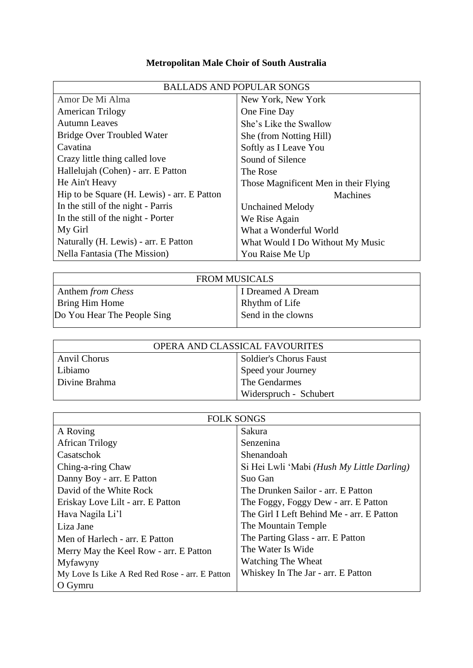## **Metropolitan Male Choir of South Australia**

| <b>BALLADS AND POPULAR SONGS</b>            |                                       |
|---------------------------------------------|---------------------------------------|
| Amor De Mi Alma                             | New York, New York                    |
| <b>American Trilogy</b>                     | One Fine Day                          |
| Autumn Leaves                               | She's Like the Swallow                |
| <b>Bridge Over Troubled Water</b>           | She (from Notting Hill)               |
| Cavatina                                    | Softly as I Leave You                 |
| Crazy little thing called love              | Sound of Silence                      |
| Hallelujah (Cohen) - arr. E Patton          | The Rose                              |
| He Ain't Heavy                              | Those Magnificent Men in their Flying |
| Hip to be Square (H. Lewis) - arr. E Patton | <b>Machines</b>                       |
| In the still of the night - Parris          | <b>Unchained Melody</b>               |
| In the still of the night - Porter          | We Rise Again                         |
| My Girl                                     | What a Wonderful World                |
| Naturally (H. Lewis) - arr. E Patton        | What Would I Do Without My Music      |
| Nella Fantasia (The Mission)                | You Raise Me Up                       |

| <b>FROM MUSICALS</b>        |                    |
|-----------------------------|--------------------|
| Anthem from Chess           | I Dreamed A Dream  |
| Bring Him Home              | Rhythm of Life     |
| Do You Hear The People Sing | Send in the clowns |
|                             |                    |

| OPERA AND CLASSICAL FAVOURITES |                               |
|--------------------------------|-------------------------------|
| Anvil Chorus                   | <b>Soldier's Chorus Faust</b> |
| Libiamo                        | Speed your Journey            |
| Divine Brahma                  | The Gendarmes                 |
|                                | Widerspruch - Schubert        |

| <b>FOLK SONGS</b>                              |                                            |
|------------------------------------------------|--------------------------------------------|
| A Roving                                       | Sakura                                     |
| <b>African Trilogy</b>                         | Senzenina                                  |
| Casatschok                                     | Shenandoah                                 |
| Ching-a-ring Chaw                              | Si Hei Lwli 'Mabi (Hush My Little Darling) |
| Danny Boy - arr. E Patton                      | Suo Gan                                    |
| David of the White Rock                        | The Drunken Sailor - arr. E Patton         |
| Eriskay Love Lilt - arr. E Patton              | The Foggy, Foggy Dew - arr. E Patton       |
| Hava Nagila Li'l                               | The Girl I Left Behind Me - arr. E Patton  |
| Liza Jane                                      | The Mountain Temple                        |
| Men of Harlech - arr. E Patton                 | The Parting Glass - arr. E Patton          |
| Merry May the Keel Row - arr. E Patton         | The Water Is Wide                          |
| Myfawyny                                       | Watching The Wheat                         |
| My Love Is Like A Red Red Rose - arr. E Patton | Whiskey In The Jar - arr. E Patton         |
| O Gymru                                        |                                            |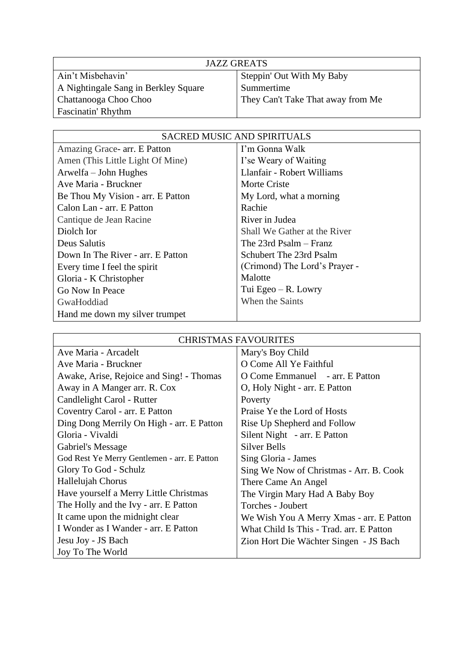| <b>JAZZ GREATS</b>                   |                                   |
|--------------------------------------|-----------------------------------|
| Ain't Misbehavin'                    | Steppin' Out With My Baby         |
| A Nightingale Sang in Berkley Square | Summertime                        |
| Chattanooga Choo Choo                | They Can't Take That away from Me |
| Fascinatin' Rhythm                   |                                   |

| <b>SACRED MUSIC AND SPIRITUALS</b> |                               |
|------------------------------------|-------------------------------|
| Amazing Grace - arr. E Patton      | I'm Gonna Walk                |
| Amen (This Little Light Of Mine)   | I'se Weary of Waiting         |
| Arwelfa – John Hughes              | Llanfair - Robert Williams    |
| Ave Maria - Bruckner               | Morte Criste                  |
| Be Thou My Vision - arr. E Patton  | My Lord, what a morning       |
| Calon Lan - arr. E Patton          | Rachie                        |
| Cantique de Jean Racine            | River in Judea                |
| Diolch Ior                         | Shall We Gather at the River  |
| Deus Salutis                       | The $23rd$ Psalm – Franz      |
| Down In The River - arr. E Patton  | Schubert The 23rd Psalm       |
| Every time I feel the spirit       | (Crimond) The Lord's Prayer - |
| Gloria - K Christopher             | Malotte                       |
| Go Now In Peace                    | Tui Egeo $-$ R. Lowry         |
| GwaHoddiad                         | When the Saints               |
| Hand me down my silver trumpet     |                               |

| <b>CHRISTMAS FAVOURITES</b>                 |                                          |
|---------------------------------------------|------------------------------------------|
| Ave Maria - Arcadelt                        | Mary's Boy Child                         |
| Ave Maria - Bruckner                        | O Come All Ye Faithful                   |
| Awake, Arise, Rejoice and Sing! - Thomas    | O Come Emmanuel - arr. E Patton          |
| Away in A Manger arr. R. Cox                | O, Holy Night - arr. E Patton            |
| Candlelight Carol - Rutter                  | Poverty                                  |
| Coventry Carol - arr. E Patton              | Praise Ye the Lord of Hosts              |
| Ding Dong Merrily On High - arr. E Patton   | Rise Up Shepherd and Follow              |
| Gloria - Vivaldi                            | Silent Night - arr. E Patton             |
| Gabriel's Message                           | Silver Bells                             |
| God Rest Ye Merry Gentlemen - arr. E Patton | Sing Gloria - James                      |
| Glory To God - Schulz                       | Sing We Now of Christmas - Arr. B. Cook  |
| Hallelujah Chorus                           | There Came An Angel                      |
| Have yourself a Merry Little Christmas      | The Virgin Mary Had A Baby Boy           |
| The Holly and the Ivy - arr. E Patton       | Torches - Joubert                        |
| It came upon the midnight clear             | We Wish You A Merry Xmas - arr. E Patton |
| I Wonder as I Wander - arr. E Patton        | What Child Is This - Trad. arr. E Patton |
| Jesu Joy - JS Bach                          | Zion Hort Die Wächter Singen - JS Bach   |
| Joy To The World                            |                                          |